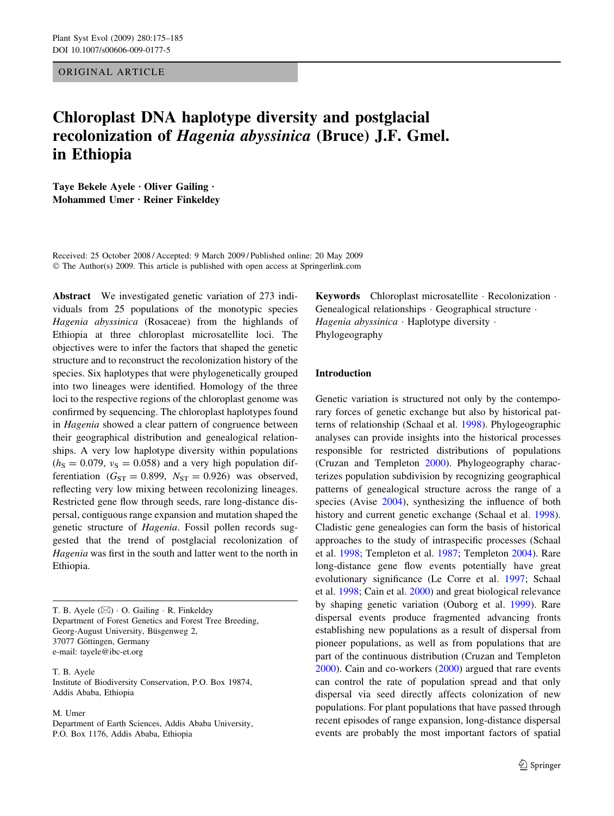ORIGINAL ARTICLE

# Chloroplast DNA haplotype diversity and postglacial recolonization of Hagenia abyssinica (Bruce) J.F. Gmel. in Ethiopia

Taye Bekele Ayele  $\cdot$  Oliver Gailing  $\cdot$ Mohammed Umer · Reiner Finkeldev

Received: 25 October 2008 / Accepted: 9 March 2009 / Published online: 20 May 2009  $\odot$  The Author(s) 2009. This article is published with open access at Springerlink.com

Abstract We investigated genetic variation of 273 individuals from 25 populations of the monotypic species Hagenia abyssinica (Rosaceae) from the highlands of Ethiopia at three chloroplast microsatellite loci. The objectives were to infer the factors that shaped the genetic structure and to reconstruct the recolonization history of the species. Six haplotypes that were phylogenetically grouped into two lineages were identified. Homology of the three loci to the respective regions of the chloroplast genome was confirmed by sequencing. The chloroplast haplotypes found in Hagenia showed a clear pattern of congruence between their geographical distribution and genealogical relationships. A very low haplotype diversity within populations  $(h<sub>S</sub> = 0.079, v<sub>S</sub> = 0.058)$  and a very high population differentiation ( $G_{ST} = 0.899$ ,  $N_{ST} = 0.926$ ) was observed, reflecting very low mixing between recolonizing lineages. Restricted gene flow through seeds, rare long-distance dispersal, contiguous range expansion and mutation shaped the genetic structure of Hagenia. Fossil pollen records suggested that the trend of postglacial recolonization of Hagenia was first in the south and latter went to the north in Ethiopia.

T. B. Ayele  $(\boxtimes) \cdot$  O. Gailing  $\cdot$  R. Finkeldey Department of Forest Genetics and Forest Tree Breeding, Georg-August University, Büsgenweg 2, 37077 Göttingen, Germany e-mail: tayele@ibc-et.org

T. B. Ayele Institute of Biodiversity Conservation, P.O. Box 19874, Addis Ababa, Ethiopia

M. Umer

Department of Earth Sciences, Addis Ababa University, P.O. Box 1176, Addis Ababa, Ethiopia

Keywords Chloroplast microsatellite · Recolonization · Genealogical relationships · Geographical structure · Hagenia abyssinica  $\cdot$  Haplotype diversity  $\cdot$ Phylogeography

# Introduction

Genetic variation is structured not only by the contemporary forces of genetic exchange but also by historical patterns of relationship (Schaal et al. [1998](#page-10-0)). Phylogeographic analyses can provide insights into the historical processes responsible for restricted distributions of populations (Cruzan and Templeton [2000\)](#page-9-0). Phylogeography characterizes population subdivision by recognizing geographical patterns of genealogical structure across the range of a species (Avise [2004\)](#page-9-0), synthesizing the influence of both history and current genetic exchange (Schaal et al. [1998](#page-10-0)). Cladistic gene genealogies can form the basis of historical approaches to the study of intraspecific processes (Schaal et al. [1998](#page-10-0); Templeton et al. [1987](#page-10-0); Templeton [2004\)](#page-10-0). Rare long-distance gene flow events potentially have great evolutionary significance (Le Corre et al. [1997](#page-10-0); Schaal et al. [1998](#page-10-0); Cain et al. [2000](#page-9-0)) and great biological relevance by shaping genetic variation (Ouborg et al. [1999\)](#page-10-0). Rare dispersal events produce fragmented advancing fronts establishing new populations as a result of dispersal from pioneer populations, as well as from populations that are part of the continuous distribution (Cruzan and Templeton [2000](#page-9-0)). Cain and co-workers ([2000](#page-9-0)) argued that rare events can control the rate of population spread and that only dispersal via seed directly affects colonization of new populations. For plant populations that have passed through recent episodes of range expansion, long-distance dispersal events are probably the most important factors of spatial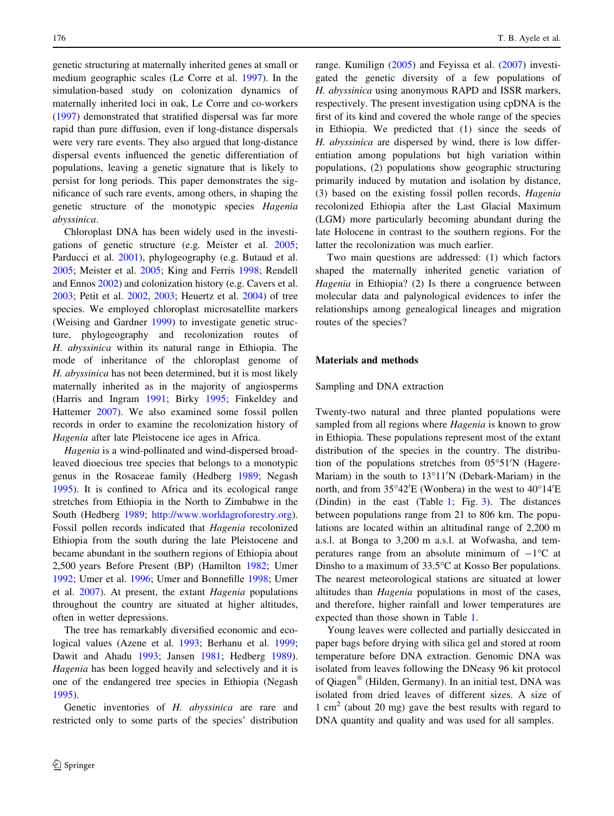genetic structuring at maternally inherited genes at small or medium geographic scales (Le Corre et al. [1997\)](#page-10-0). In the simulation-based study on colonization dynamics of maternally inherited loci in oak, Le Corre and co-workers [\(1997](#page-10-0)) demonstrated that stratified dispersal was far more rapid than pure diffusion, even if long-distance dispersals were very rare events. They also argued that long-distance dispersal events influenced the genetic differentiation of populations, leaving a genetic signature that is likely to persist for long periods. This paper demonstrates the significance of such rare events, among others, in shaping the genetic structure of the monotypic species Hagenia abyssinica.

Chloroplast DNA has been widely used in the investigations of genetic structure (e.g. Meister et al. [2005](#page-10-0); Parducci et al. [2001\)](#page-10-0), phylogeography (e.g. Butaud et al. [2005;](#page-9-0) Meister et al. [2005](#page-10-0); King and Ferris [1998](#page-10-0); Rendell and Ennos [2002](#page-10-0)) and colonization history (e.g. Cavers et al. [2003;](#page-9-0) Petit et al. [2002](#page-10-0), [2003;](#page-10-0) Heuertz et al. [2004](#page-9-0)) of tree species. We employed chloroplast microsatellite markers (Weising and Gardner [1999\)](#page-10-0) to investigate genetic structure, phylogeography and recolonization routes of H. abyssinica within its natural range in Ethiopia. The mode of inheritance of the chloroplast genome of H. abyssinica has not been determined, but it is most likely maternally inherited as in the majority of angiosperms (Harris and Ingram [1991](#page-9-0); Birky [1995](#page-9-0); Finkeldey and Hattemer [2007\)](#page-9-0). We also examined some fossil pollen records in order to examine the recolonization history of Hagenia after late Pleistocene ice ages in Africa.

Hagenia is a wind-pollinated and wind-dispersed broadleaved dioecious tree species that belongs to a monotypic genus in the Rosaceae family (Hedberg [1989;](#page-9-0) Negash [1995\)](#page-10-0). It is confined to Africa and its ecological range stretches from Ethiopia in the North to Zimbabwe in the South (Hedberg [1989](#page-9-0); <http://www.worldagroforestry.org>). Fossil pollen records indicated that Hagenia recolonized Ethiopia from the south during the late Pleistocene and became abundant in the southern regions of Ethiopia about 2,500 years Before Present (BP) (Hamilton [1982;](#page-9-0) Umer [1992;](#page-10-0) Umer et al. [1996](#page-10-0); Umer and Bonnefille [1998](#page-10-0); Umer et al. [2007](#page-10-0)). At present, the extant Hagenia populations throughout the country are situated at higher altitudes, often in wetter depressions.

The tree has remarkably diversified economic and ecological values (Azene et al. [1993;](#page-9-0) Berhanu et al. [1999](#page-9-0); Dawit and Ahadu [1993;](#page-9-0) Jansen [1981;](#page-10-0) Hedberg [1989](#page-9-0)). Hagenia has been logged heavily and selectively and it is one of the endangered tree species in Ethiopia (Negash [1995\)](#page-10-0).

Genetic inventories of H. abyssinica are rare and restricted only to some parts of the species' distribution range. Kumilign [\(2005](#page-10-0)) and Feyissa et al. [\(2007](#page-9-0)) investigated the genetic diversity of a few populations of H. abyssinica using anonymous RAPD and ISSR markers, respectively. The present investigation using cpDNA is the first of its kind and covered the whole range of the species in Ethiopia. We predicted that (1) since the seeds of H. abyssinica are dispersed by wind, there is low differentiation among populations but high variation within populations, (2) populations show geographic structuring primarily induced by mutation and isolation by distance, (3) based on the existing fossil pollen records, Hagenia recolonized Ethiopia after the Last Glacial Maximum (LGM) more particularly becoming abundant during the late Holocene in contrast to the southern regions. For the latter the recolonization was much earlier.

Two main questions are addressed: (1) which factors shaped the maternally inherited genetic variation of Hagenia in Ethiopia? (2) Is there a congruence between molecular data and palynological evidences to infer the relationships among genealogical lineages and migration routes of the species?

## Materials and methods

# Sampling and DNA extraction

Twenty-two natural and three planted populations were sampled from all regions where Hagenia is known to grow in Ethiopia. These populations represent most of the extant distribution of the species in the country. The distribution of the populations stretches from 05°51'N (Hagere-Mariam) in the south to  $13^{\circ}11'N$  (Debark-Mariam) in the north, and from  $35^{\circ}42'E$  (Wonbera) in the west to  $40^{\circ}14'E$ (Dindin) in the east (Table [1](#page-2-0); Fig. [3](#page-6-0)). The distances between populations range from 21 to 806 km. The populations are located within an altitudinal range of 2,200 m a.s.l. at Bonga to 3,200 m a.s.l. at Wofwasha, and temperatures range from an absolute minimum of  $-1$ <sup>o</sup>C at Dinsho to a maximum of  $33.5^{\circ}$ C at Kosso Ber populations. The nearest meteorological stations are situated at lower altitudes than Hagenia populations in most of the cases, and therefore, higher rainfall and lower temperatures are expected than those shown in Table [1.](#page-2-0)

Young leaves were collected and partially desiccated in paper bags before drying with silica gel and stored at room temperature before DNA extraction. Genomic DNA was isolated from leaves following the DNeasy 96 kit protocol of Qiagen<sup>®</sup> (Hilden, Germany). In an initial test, DNA was isolated from dried leaves of different sizes. A size of 1 cm<sup>2</sup> (about 20 mg) gave the best results with regard to DNA quantity and quality and was used for all samples.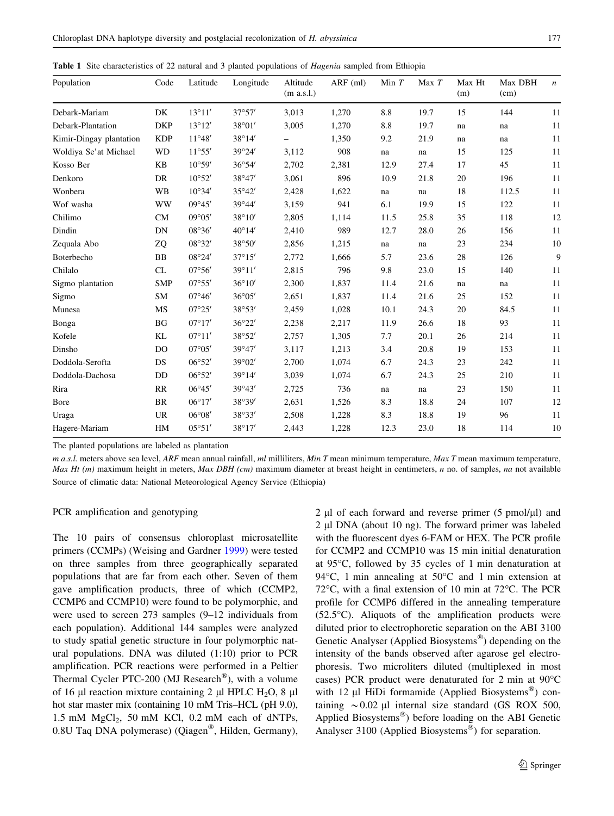<span id="page-2-0"></span>Table 1 Site characteristics of 22 natural and 3 planted populations of *Hagenia* sampled from Ethiopia

| Population              | Code           | Latitude        | Longitude       | Altitude<br>(m a.s.l.) | $ARF$ (ml) | Min $T$ | Max T | Max Ht<br>(m) | Max DBH<br>(cm) | $\boldsymbol{n}$ |
|-------------------------|----------------|-----------------|-----------------|------------------------|------------|---------|-------|---------------|-----------------|------------------|
| Debark-Mariam           | DK             | $13^{\circ}11'$ | 37°57'          | 3,013                  | 1,270      | 8.8     | 19.7  | 15            | 144             | 11               |
| Debark-Plantation       | <b>DKP</b>     | 13°12'          | 38°01'          | 3,005                  | 1,270      | 8.8     | 19.7  | na            | na              | 11               |
| Kimir-Dingay plantation | <b>KDP</b>     | $11^{\circ}48'$ | 38°14'          |                        | 1,350      | 9.2     | 21.9  | na            | na              | 11               |
| Woldiya Se'at Michael   | <b>WD</b>      | 11°55'          | 39°24'          | 3,112                  | 908        | na      | na    | 15            | 125             | 11               |
| Kosso Ber               | <b>KB</b>      | $10^{\circ}59'$ | 36°54'          | 2,702                  | 2,381      | 12.9    | 27.4  | 17            | 45              | 11               |
| Denkoro                 | DR             | $10^{\circ}52'$ | 38°47'          | 3,061                  | 896        | 10.9    | 21.8  | 20            | 196             | 11               |
| Wonbera                 | WB             | $10^{\circ}34'$ | 35°42'          | 2,428                  | 1,622      | na      | na    | 18            | 112.5           | 11               |
| Wof washa               | <b>WW</b>      | $09^{\circ}45'$ | 39°44'          | 3,159                  | 941        | 6.1     | 19.9  | 15            | 122             | 11               |
| Chilimo                 | <b>CM</b>      | $09^{\circ}05'$ | 38°10'          | 2,805                  | 1,114      | 11.5    | 25.8  | 35            | 118             | 12               |
| Dindin                  | DN             | 08°36'          | $40^{\circ}14'$ | 2,410                  | 989        | 12.7    | 28.0  | 26            | 156             | 11               |
| Zequala Abo             | ZQ             | 08°32'          | 38°50'          | 2,856                  | 1,215      | na      | na    | 23            | 234             | 10               |
| Boterbecho              | BB             | 08°24'          | $37^{\circ}15'$ | 2,772                  | 1,666      | 5.7     | 23.6  | 28            | 126             | 9                |
| Chilalo                 | CL             | 07°56'          | 39°11'          | 2,815                  | 796        | 9.8     | 23.0  | 15            | 140             | 11               |
| Sigmo plantation        | <b>SMP</b>     | 07°55'          | 36°10'          | 2,300                  | 1,837      | 11.4    | 21.6  | na            | na              | 11               |
| Sigmo                   | SM             | $07^{\circ}46'$ | 36°05'          | 2,651                  | 1,837      | 11.4    | 21.6  | 25            | 152             | 11               |
| Munesa                  | MS             | 07°25'          | 38°53'          | 2,459                  | 1,028      | 10.1    | 24.3  | 20            | 84.5            | 11               |
| Bonga                   | BG             | $07^{\circ}17'$ | 36°22'          | 2,238                  | 2,217      | 11.9    | 26.6  | 18            | 93              | 11               |
| Kofele                  | KL             | $07^{\circ}11'$ | 38°52'          | 2,757                  | 1,305      | 7.7     | 20.1  | 26            | 214             | 11               |
| Dinsho                  | D <sub>O</sub> | 07°05'          | 39°47'          | 3,117                  | 1,213      | 3.4     | 20.8  | 19            | 153             | 11               |
| Doddola-Serofta         | DS             | 06°52'          | 39°02'          | 2,700                  | 1,074      | 6.7     | 24.3  | 23            | 242             | 11               |
| Doddola-Dachosa         | DD             | 06°52'          | 39°14'          | 3,039                  | 1,074      | 6.7     | 24.3  | 25            | 210             | 11               |
| Rira                    | RR             | $06^{\circ}45'$ | 39°43'          | 2,725                  | 736        | na      | na    | 23            | 150             | 11               |
| Bore                    | BR             | $06^{\circ}17'$ | 38°39'          | 2,631                  | 1,526      | 8.3     | 18.8  | 24            | 107             | 12               |
| Uraga                   | <b>UR</b>      | $06^{\circ}08'$ | 38°33'          | 2,508                  | 1,228      | 8.3     | 18.8  | 19            | 96              | 11               |
| Hagere-Mariam           | HM             | 05°51'          | 38°17'          | 2,443                  | 1,228      | 12.3    | 23.0  | 18            | 114             | 10               |

The planted populations are labeled as plantation

 $m$  a.s.l. meters above sea level, ARF mean annual rainfall,  $ml$  milliliters,  $Min$  T mean minimum temperature,  $Max$  T mean maximum temperature, Max Ht  $(m)$  maximum height in meters, Max DBH  $(cm)$  maximum diameter at breast height in centimeters, n no. of samples, na not available Source of climatic data: National Meteorological Agency Service (Ethiopia)

## PCR amplification and genotyping

The 10 pairs of consensus chloroplast microsatellite primers (CCMPs) (Weising and Gardner [1999](#page-10-0)) were tested on three samples from three geographically separated populations that are far from each other. Seven of them gave amplification products, three of which (CCMP2, CCMP6 and CCMP10) were found to be polymorphic, and were used to screen 273 samples (9–12 individuals from each population). Additional 144 samples were analyzed to study spatial genetic structure in four polymorphic natural populations. DNA was diluted (1:10) prior to PCR amplification. PCR reactions were performed in a Peltier Thermal Cycler PTC-200 (MJ Research<sup>®</sup>), with a volume of 16  $\mu$ l reaction mixture containing 2  $\mu$ l HPLC H<sub>2</sub>O, 8  $\mu$ l hot star master mix (containing 10 mM Tris–HCL (pH 9.0), 1.5 mM  $MgCl<sub>2</sub>$ , 50 mM KCl, 0.2 mM each of dNTPs,  $0.8U$  Taq DNA polymerase) (Qiagen<sup>®</sup>, Hilden, Germany),

 $2 \mu$ l of each forward and reverse primer (5 pmol/ $\mu$ l) and 2 µl DNA (about 10 ng). The forward primer was labeled with the fluorescent dyes 6-FAM or HEX. The PCR profile for CCMP2 and CCMP10 was 15 min initial denaturation at 95°C, followed by 35 cycles of 1 min denaturation at 94 $\degree$ C, 1 min annealing at 50 $\degree$ C and 1 min extension at 72 $\degree$ C, with a final extension of 10 min at 72 $\degree$ C. The PCR profile for CCMP6 differed in the annealing temperature  $(52.5^{\circ}C)$ . Aliquots of the amplification products were diluted prior to electrophoretic separation on the ABI 3100 Genetic Analyser (Applied Biosystems<sup>®</sup>) depending on the intensity of the bands observed after agarose gel electrophoresis. Two microliters diluted (multiplexed in most cases) PCR product were denaturated for 2 min at  $90^{\circ}$ C with 12  $\mu$ I HiDi formamide (Applied Biosystems<sup>®</sup>) containing  $\sim 0.02$  µl internal size standard (GS ROX 500, Applied Biosystems<sup>®</sup>) before loading on the ABI Genetic Analyser 3100 (Applied Biosystems®) for separation.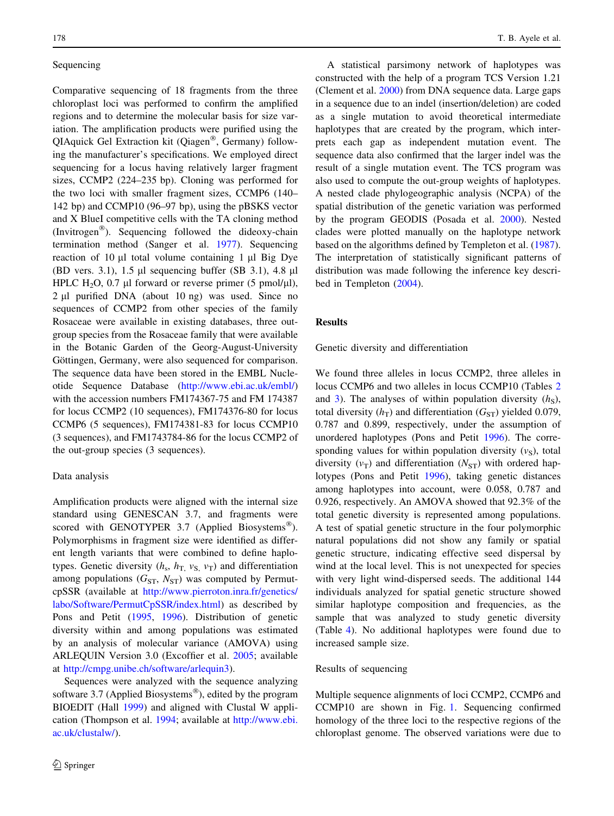# Sequencing

Comparative sequencing of 18 fragments from the three chloroplast loci was performed to confirm the amplified regions and to determine the molecular basis for size variation. The amplification products were purified using the QIAquick Gel Extraction kit (Qiagen®, Germany) following the manufacturer's specifications. We employed direct sequencing for a locus having relatively larger fragment sizes, CCMP2 (224–235 bp). Cloning was performed for the two loci with smaller fragment sizes, CCMP6 (140– 142 bp) and CCMP10 (96–97 bp), using the pBSKS vector and X BlueI competitive cells with the TA cloning method (Invitrogen<sup>®</sup>). Sequencing followed the dideoxy-chain termination method (Sanger et al. [1977\)](#page-10-0). Sequencing reaction of  $10 \mu l$  total volume containing 1  $\mu l$  Big Dye (BD vers. 3.1), 1.5  $\mu$ l sequencing buffer (SB 3.1), 4.8  $\mu$ l HPLC H<sub>2</sub>O, 0.7 µl forward or reverse primer (5 pmol/µl),  $2 \mu l$  purified DNA (about 10 ng) was used. Since no sequences of CCMP2 from other species of the family Rosaceae were available in existing databases, three outgroup species from the Rosaceae family that were available in the Botanic Garden of the Georg-August-University Göttingen, Germany, were also sequenced for comparison. The sequence data have been stored in the EMBL Nucleotide Sequence Database ([http://www.ebi.ac.uk/embl/\)](http://www.ebi.ac.uk/embl/) with the accession numbers FM174367-75 and FM 174387 for locus CCMP2 (10 sequences), FM174376-80 for locus CCMP6 (5 sequences), FM174381-83 for locus CCMP10 (3 sequences), and FM1743784-86 for the locus CCMP2 of the out-group species (3 sequences).

## Data analysis

Amplification products were aligned with the internal size standard using GENESCAN 3.7, and fragments were scored with GENOTYPER 3.7 (Applied Biosystems<sup>®</sup>). Polymorphisms in fragment size were identified as different length variants that were combined to define haplotypes. Genetic diversity  $(h_s, h_T, v_S, v_T)$  and differentiation among populations  $(G_{ST}, N_{ST})$  was computed by PermutcpSSR (available at [http://www.pierroton.inra.fr/genetics/](http://www.pierroton.inra.fr/genetics/labo/Software/PermutCpSSR/index.html) [labo/Software/PermutCpSSR/index.html](http://www.pierroton.inra.fr/genetics/labo/Software/PermutCpSSR/index.html)) as described by Pons and Petit [\(1995](#page-10-0), [1996\)](#page-10-0). Distribution of genetic diversity within and among populations was estimated by an analysis of molecular variance (AMOVA) using ARLEQUIN Version 3.0 (Excoffier et al. [2005](#page-9-0); available at <http://cmpg.unibe.ch/software/arlequin3>).

Sequences were analyzed with the sequence analyzing software 3.7 (Applied Biosystems<sup>®</sup>), edited by the program BIOEDIT (Hall [1999](#page-9-0)) and aligned with Clustal W application (Thompson et al. [1994;](#page-10-0) available at [http://www.ebi.](http://www.ebi.ac.uk/clustalw/) [ac.uk/clustalw/](http://www.ebi.ac.uk/clustalw/)).

A statistical parsimony network of haplotypes was constructed with the help of a program TCS Version 1.21 (Clement et al. [2000\)](#page-9-0) from DNA sequence data. Large gaps in a sequence due to an indel (insertion/deletion) are coded as a single mutation to avoid theoretical intermediate haplotypes that are created by the program, which interprets each gap as independent mutation event. The sequence data also confirmed that the larger indel was the result of a single mutation event. The TCS program was also used to compute the out-group weights of haplotypes. A nested clade phylogeographic analysis (NCPA) of the spatial distribution of the genetic variation was performed by the program GEODIS (Posada et al. [2000](#page-10-0)). Nested clades were plotted manually on the haplotype network based on the algorithms defined by Templeton et al. [\(1987](#page-10-0)). The interpretation of statistically significant patterns of distribution was made following the inference key described in Templeton [\(2004](#page-10-0)).

#### Results

Genetic diversity and differentiation

We found three alleles in locus CCMP2, three alleles in locus CCMP6 and two alleles in locus CCMP10 (Tables [2](#page-4-0) and [3\)](#page-4-0). The analyses of within population diversity  $(h<sub>S</sub>)$ , total diversity  $(h_T)$  and differentiation  $(G_{ST})$  yielded 0.079, 0.787 and 0.899, respectively, under the assumption of unordered haplotypes (Pons and Petit [1996](#page-10-0)). The corresponding values for within population diversity  $(v<sub>S</sub>)$ , total diversity ( $v_T$ ) and differentiation ( $N_{ST}$ ) with ordered haplotypes (Pons and Petit [1996\)](#page-10-0), taking genetic distances among haplotypes into account, were 0.058, 0.787 and 0.926, respectively. An AMOVA showed that 92.3% of the total genetic diversity is represented among populations. A test of spatial genetic structure in the four polymorphic natural populations did not show any family or spatial genetic structure, indicating effective seed dispersal by wind at the local level. This is not unexpected for species with very light wind-dispersed seeds. The additional 144 individuals analyzed for spatial genetic structure showed similar haplotype composition and frequencies, as the sample that was analyzed to study genetic diversity (Table [4\)](#page-4-0). No additional haplotypes were found due to increased sample size.

# Results of sequencing

Multiple sequence alignments of loci CCMP2, CCMP6 and CCMP10 are shown in Fig. [1](#page-5-0). Sequencing confirmed homology of the three loci to the respective regions of the chloroplast genome. The observed variations were due to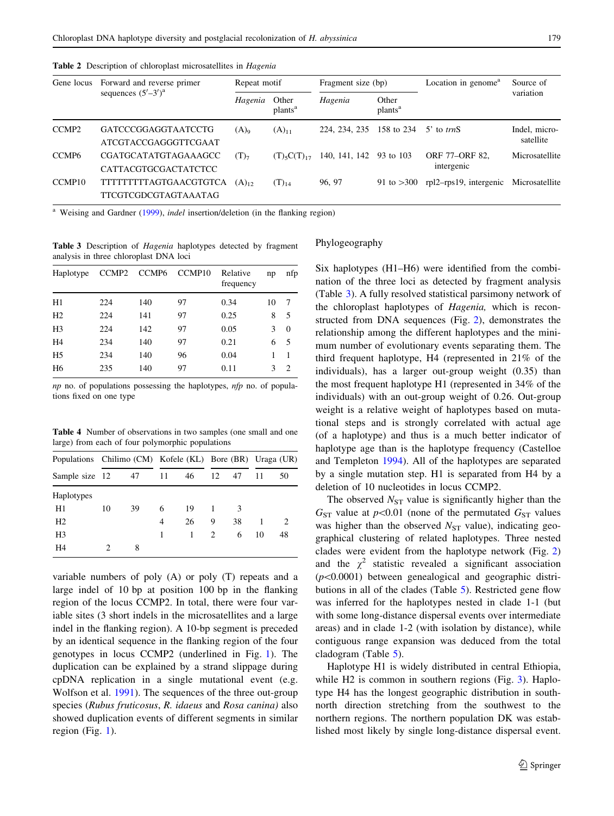<span id="page-4-0"></span>

|  |  |  | <b>Table 2</b> Description of chloroplast microsatellites in <i>Hagenia</i> |  |
|--|--|--|-----------------------------------------------------------------------------|--|
|--|--|--|-----------------------------------------------------------------------------|--|

| Gene locus         | Forward and reverse primer                                   | Repeat motif |                              | Fragment size (bp) |                              | Location in genome <sup>a</sup> | Source of                  |  |
|--------------------|--------------------------------------------------------------|--------------|------------------------------|--------------------|------------------------------|---------------------------------|----------------------------|--|
|                    | sequences $(5'–3')^a$                                        | Hagenia      | Other<br>plants <sup>a</sup> | Hagenia            | Other<br>plants <sup>a</sup> |                                 | variation                  |  |
| CCMP <sub>2</sub>  | <b>GATCCCGGAGGTAATCCTG</b><br>ATCGTACCGAGGGTTCGAAT           | $(A)_{9}$    | $(A)_{11}$                   | 224, 234, 235      | 158 to 234                   | $5'$ to trnS                    | Indel, micro-<br>satellite |  |
| CCMP <sub>6</sub>  | CGATGCATATGTAGAAAGCC<br>CATTACGTGCGACTATCTCC                 | $(T)_{7}$    | $(T)_{5}C(T)_{17}$           | 140, 141, 142      | 93 to 103                    | ORF 77-ORF 82,<br>intergenic    | Microsatellite             |  |
| CCMP <sub>10</sub> | <b>TTTTTTTTTAGTGAACGTGTCA</b><br><b>TTCGTCGDCGTAGTAAATAG</b> | $(A)_{12}$   | $(T)_{14}$                   | 96, 97             | 91 to $>300$                 | rpl2-rps19, intergenic          | Microsatellite             |  |

Weising and Gardner ([1999\)](#page-10-0), indel insertion/deletion (in the flanking region)

Table 3 Description of Hagenia haplotypes detected by fragment analysis in three chloroplast DNA loci

| Haplotype      |     | CCMP2 CCMP6 | CCMP <sub>10</sub> | Relative<br>frequency | np | nfp            |
|----------------|-----|-------------|--------------------|-----------------------|----|----------------|
| H1             | 224 | 140         | 97                 | 0.34                  | 10 | 7              |
| H <sub>2</sub> | 224 | 141         | 97                 | 0.25                  | 8  | 5              |
| H <sub>3</sub> | 224 | 142         | 97                 | 0.05                  | 3  | $\Omega$       |
| H <sub>4</sub> | 234 | 140         | 97                 | 0.21                  | 6  | 5              |
| H <sub>5</sub> | 234 | 140         | 96                 | 0.04                  |    |                |
| H <sub>6</sub> | 235 | 140         | 97                 | 0.11                  |    | $\mathfrak{D}$ |

 $np$  no. of populations possessing the haplotypes,  $nfp$  no. of populations fixed on one type

Table 4 Number of observations in two samples (one small and one large) from each of four polymorphic populations

|                | Populations Chilimo (CM) Kofele (KL) Bore (BR) Uraga (UR) |    |    |    |    |    |    |               |
|----------------|-----------------------------------------------------------|----|----|----|----|----|----|---------------|
| Sample size 12 |                                                           | 47 | 11 | 46 | 12 | 47 | 11 | 50            |
| Haplotypes     |                                                           |    |    |    |    |    |    |               |
| H1             | 10                                                        | 39 | 6  | 19 |    | 3  |    |               |
| H <sub>2</sub> |                                                           |    | 4  | 26 | 9  | 38 | 1  | $\mathcal{L}$ |
| H <sub>3</sub> |                                                           |    |    | 1  | 2  | 6  | 10 | 48            |
| H4             |                                                           | 8  |    |    |    |    |    |               |

variable numbers of poly (A) or poly (T) repeats and a large indel of 10 bp at position 100 bp in the flanking region of the locus CCMP2. In total, there were four variable sites (3 short indels in the microsatellites and a large indel in the flanking region). A 10-bp segment is preceded by an identical sequence in the flanking region of the four genotypes in locus CCMP2 (underlined in Fig. [1](#page-5-0)). The duplication can be explained by a strand slippage during cpDNA replication in a single mutational event (e.g. Wolfson et al. [1991\)](#page-10-0). The sequences of the three out-group species (Rubus fruticosus, R. idaeus and Rosa canina) also showed duplication events of different segments in similar region (Fig. [1](#page-5-0)).

#### Phylogeography

Six haplotypes (H1–H6) were identified from the combination of the three loci as detected by fragment analysis (Table 3). A fully resolved statistical parsimony network of the chloroplast haplotypes of Hagenia, which is reconstructed from DNA sequences (Fig. [2](#page-5-0)), demonstrates the relationship among the different haplotypes and the minimum number of evolutionary events separating them. The third frequent haplotype, H4 (represented in 21% of the individuals), has a larger out-group weight (0.35) than the most frequent haplotype H1 (represented in 34% of the individuals) with an out-group weight of 0.26. Out-group weight is a relative weight of haplotypes based on mutational steps and is strongly correlated with actual age (of a haplotype) and thus is a much better indicator of haplotype age than is the haplotype frequency (Castelloe and Templeton [1994\)](#page-9-0). All of the haplotypes are separated by a single mutation step. H1 is separated from H4 by a deletion of 10 nucleotides in locus CCMP2.

The observed  $N_{ST}$  value is significantly higher than the  $G<sub>ST</sub>$  value at  $p<0.01$  (none of the permutated  $G<sub>ST</sub>$  values was higher than the observed  $N_{ST}$  value), indicating geographical clustering of related haplotypes. Three nested clades were evident from the haplotype network (Fig. [2\)](#page-5-0) and the  $\chi^2$  statistic revealed a significant association  $(p<0.0001)$  between genealogical and geographic distributions in all of the clades (Table [5\)](#page-6-0). Restricted gene flow was inferred for the haplotypes nested in clade 1-1 (but with some long-distance dispersal events over intermediate areas) and in clade 1-2 (with isolation by distance), while contiguous range expansion was deduced from the total cladogram (Table [5](#page-6-0)).

Haplotype H1 is widely distributed in central Ethiopia, while H<sub>2</sub> is common in southern regions (Fig. [3](#page-6-0)). Haplotype H4 has the longest geographic distribution in southnorth direction stretching from the southwest to the northern regions. The northern population DK was established most likely by single long-distance dispersal event.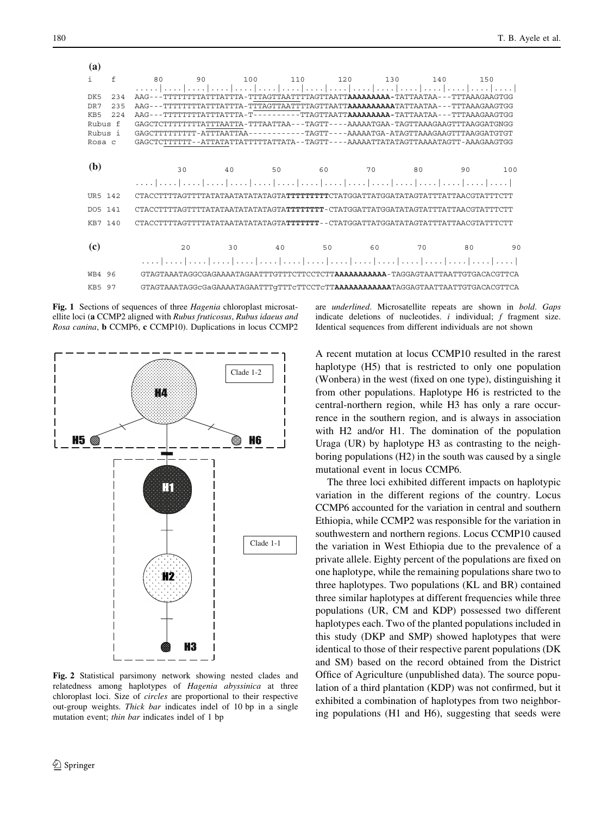<span id="page-5-0"></span>

| (a)                    |               |     |        |                                                                                                   |     |                                                    |     |                |     |
|------------------------|---------------|-----|--------|---------------------------------------------------------------------------------------------------|-----|----------------------------------------------------|-----|----------------|-----|
| f<br>ı.                | 80            | 90  | 100    | 110                                                                                               | 120 | 130                                                | 140 | 150            |     |
|                        |               |     |        |                                                                                                   |     |                                                    |     |                |     |
| 234<br>DK5             | AAG.          |     |        | TA - TTTAGTTAATTTTAGTTAATT <b>AAAAAAAA -</b> TATTAATAA - -                                        |     |                                                    |     | -TTTAAAGAAGTGG |     |
| DR7<br>235             | AAG.          |     |        | 'ΤΑ-ΤΤΤΑGΤΤΑΑΤΤΤΤΑGΤΤΑΑΤΤ <b>ΑΑΑΑΑΑΑΑΑΤ</b> ΑΤΤΑΑΤΑΑ                                              |     |                                                    |     |                |     |
| KB <sub>5</sub><br>224 | $AAG - - TTT$ |     | ТА – Т |                                                                                                   |     | -----TTAGTTAATTAAAAAAAAA-TATTAATAA---TTTAAAGAAGTGG |     |                |     |
| Rubus f                | GAGCTCTTTTT   |     |        | TTTATTTAATTA - TTTAATTAA - - - TAGTT - - - - AAAAATGAA - TAGTTAAAGAAGTTTAAGGATGNGG                |     |                                                    |     |                |     |
| Rubus i                |               |     |        |                                                                                                   |     |                                                    |     |                |     |
| Rosa c                 |               |     |        | GAGCTCTTTTTT--ATTATATATTTTTTATTATTATAAAAFT---AAAAATTATATAGTTAAAATAGTT-AAAGAAGTGG                  |     |                                                    |     |                |     |
| (b)                    |               | 30  | 40     | 50                                                                                                | 60  | 70                                                 | 80  | 90             | 100 |
|                        |               |     |        | المتما المتما المتمار المتمار المتمار المتمار المتمار لمتمار لمتمار المتمار المتمار المتمار لمتما |     |                                                    |     |                |     |
| UR5 142                |               |     |        | CTACCTTTTAGTTTATATATAATATATATAGTA <b>TTTTTTTT</b> CTATGGATTATGGATATAGTATTTATTACGTATTTCTT          |     |                                                    |     |                |     |
| DO5 141                |               |     |        |                                                                                                   |     |                                                    |     |                |     |
| KR7 140                |               |     |        | CTACCTTTTAGTTTTATATATATATATATAGTA <b>TTTTTT-</b> -CTATGGATTATGGATATAGTATTTATTACGTATTTCTT          |     |                                                    |     |                |     |
|                        |               |     |        |                                                                                                   |     |                                                    |     |                |     |
| (c)                    |               | 2.0 | 30     | 40                                                                                                | 50  | 60                                                 | 70  | 80             | 90  |
|                        | .             |     |        |                                                                                                   |     |                                                    |     |                |     |

WB4 96 GTAGTAAATAGGCGAGAAAATAGAATTTGTTTCTTCCTCTT**AAAAAAAAAAA**-TAGGAGTAATTAATTGTGACACGTTCA KB5 97 GTAGTAAATAGGcGaGAAAATAGAATTTgTTTcTTCCTcTT**AAAAAAAAAAAA**TAGGAGTAATTAATTGTGACACGTTCA

Fig. 1 Sections of sequences of three *Hagenia* chloroplast microsatellite loci (a CCMP2 aligned with Rubus fruticosus, Rubus idaeus and Rosa canina, b CCMP6, c CCMP10). Duplications in locus CCMP2



Fig. 2 Statistical parsimony network showing nested clades and relatedness among haplotypes of Hagenia abyssinica at three chloroplast loci. Size of circles are proportional to their respective out-group weights. Thick bar indicates indel of 10 bp in a single mutation event; thin bar indicates indel of 1 bp

are underlined. Microsatellite repeats are shown in bold. Gaps indicate deletions of nucleotides.  $i$  individual;  $f$  fragment size. Identical sequences from different individuals are not shown

A recent mutation at locus CCMP10 resulted in the rarest haplotype (H5) that is restricted to only one population (Wonbera) in the west (fixed on one type), distinguishing it from other populations. Haplotype H6 is restricted to the central-northern region, while H3 has only a rare occurrence in the southern region, and is always in association with H2 and/or H1. The domination of the population Uraga (UR) by haplotype H3 as contrasting to the neighboring populations (H2) in the south was caused by a single mutational event in locus CCMP6.

The three loci exhibited different impacts on haplotypic variation in the different regions of the country. Locus CCMP6 accounted for the variation in central and southern Ethiopia, while CCMP2 was responsible for the variation in southwestern and northern regions. Locus CCMP10 caused the variation in West Ethiopia due to the prevalence of a private allele. Eighty percent of the populations are fixed on one haplotype, while the remaining populations share two to three haplotypes. Two populations (KL and BR) contained three similar haplotypes at different frequencies while three populations (UR, CM and KDP) possessed two different haplotypes each. Two of the planted populations included in this study (DKP and SMP) showed haplotypes that were identical to those of their respective parent populations (DK and SM) based on the record obtained from the District Office of Agriculture (unpublished data). The source population of a third plantation (KDP) was not confirmed, but it exhibited a combination of haplotypes from two neighboring populations (H1 and H6), suggesting that seeds were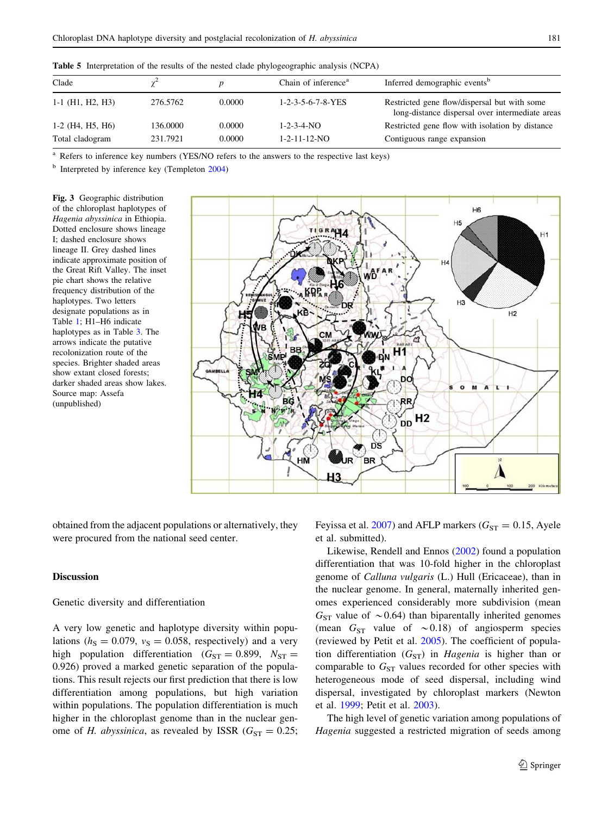<span id="page-6-0"></span>Table 5 Interpretation of the results of the nested clade phylogeographic analysis (NCPA)

| Clade              |          |        | Chain of inference <sup>a</sup>   | Inferred demographic events <sup>b</sup>                                                        |
|--------------------|----------|--------|-----------------------------------|-------------------------------------------------------------------------------------------------|
| $1-1$ (H1, H2, H3) | 276.5762 | 0.0000 | $1 - 2 - 3 - 5 - 6 - 7 - 8 - YES$ | Restricted gene flow/dispersal but with some<br>long-distance dispersal over intermediate areas |
| $1-2$ (H4, H5, H6) | 136,0000 | 0.0000 | $1 - 2 - 3 - 4 - NO$              | Restricted gene flow with isolation by distance                                                 |
| Total cladogram    | 231.7921 | 0.0000 | $1 - 2 - 11 - 12 - NO$            | Contiguous range expansion                                                                      |

<sup>a</sup> Refers to inference key numbers (YES/NO refers to the answers to the respective last keys)

 $<sup>b</sup>$  Interpreted by inference key (Templeton [2004\)](#page-10-0)</sup>

Fig. 3 Geographic distribution of the chloroplast haplotypes of Hagenia abyssinica in Ethiopia. Dotted enclosure shows lineage I; dashed enclosure shows lineage II. Grey dashed lines indicate approximate position of the Great Rift Valley. The inset pie chart shows the relative frequency distribution of the haplotypes. Two letters designate populations as in Table [1](#page-2-0); H1–H6 indicate haplotypes as in Table [3](#page-4-0). The arrows indicate the putative recolonization route of the species. Brighter shaded areas show extant closed forests; darker shaded areas show lakes. Source map: Assefa (unpublished)



obtained from the adjacent populations or alternatively, they were procured from the national seed center.

## **Discussion**

Genetic diversity and differentiation

A very low genetic and haplotype diversity within populations ( $h<sub>S</sub> = 0.079$ ,  $v<sub>S</sub> = 0.058$ , respectively) and a very high population differentiation ( $G_{ST} = 0.899$ ,  $N_{ST} =$ 0.926) proved a marked genetic separation of the populations. This result rejects our first prediction that there is low differentiation among populations, but high variation within populations. The population differentiation is much higher in the chloroplast genome than in the nuclear genome of H. abyssinica, as revealed by ISSR ( $G_{ST} = 0.25$ ; Feyissa et al. [2007](#page-9-0)) and AFLP markers ( $G_{ST} = 0.15$ , Ayele et al. submitted).

Likewise, Rendell and Ennos ([2002\)](#page-10-0) found a population differentiation that was 10-fold higher in the chloroplast genome of Calluna vulgaris (L.) Hull (Ericaceae), than in the nuclear genome. In general, maternally inherited genomes experienced considerably more subdivision (mean  $G<sub>ST</sub>$  value of  $\sim$  0.64) than biparentally inherited genomes (mean  $G_{ST}$  value of  $\sim 0.18$ ) of angiosperm species (reviewed by Petit et al. [2005](#page-10-0)). The coefficient of population differentiation  $(G_{ST})$  in Hagenia is higher than or comparable to  $G_{ST}$  values recorded for other species with heterogeneous mode of seed dispersal, including wind dispersal, investigated by chloroplast markers (Newton et al. [1999;](#page-10-0) Petit et al. [2003](#page-10-0)).

The high level of genetic variation among populations of Hagenia suggested a restricted migration of seeds among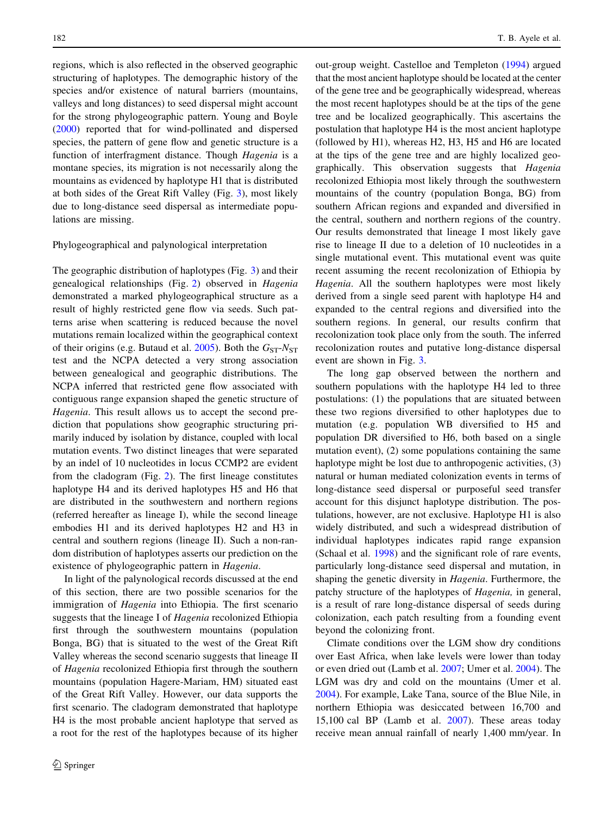regions, which is also reflected in the observed geographic structuring of haplotypes. The demographic history of the species and/or existence of natural barriers (mountains, valleys and long distances) to seed dispersal might account for the strong phylogeographic pattern. Young and Boyle [\(2000](#page-10-0)) reported that for wind-pollinated and dispersed species, the pattern of gene flow and genetic structure is a function of interfragment distance. Though Hagenia is a montane species, its migration is not necessarily along the mountains as evidenced by haplotype H1 that is distributed at both sides of the Great Rift Valley (Fig. [3\)](#page-6-0), most likely due to long-distance seed dispersal as intermediate populations are missing.

## Phylogeographical and palynological interpretation

The geographic distribution of haplotypes (Fig. [3](#page-6-0)) and their genealogical relationships (Fig. [2](#page-5-0)) observed in Hagenia demonstrated a marked phylogeographical structure as a result of highly restricted gene flow via seeds. Such patterns arise when scattering is reduced because the novel mutations remain localized within the geographical context of their origins (e.g. Butaud et al. [2005\)](#page-9-0). Both the  $G_{ST}$ - $N_{ST}$ test and the NCPA detected a very strong association between genealogical and geographic distributions. The NCPA inferred that restricted gene flow associated with contiguous range expansion shaped the genetic structure of Hagenia. This result allows us to accept the second prediction that populations show geographic structuring primarily induced by isolation by distance, coupled with local mutation events. Two distinct lineages that were separated by an indel of 10 nucleotides in locus CCMP2 are evident from the cladogram (Fig. [2](#page-5-0)). The first lineage constitutes haplotype H4 and its derived haplotypes H5 and H6 that are distributed in the southwestern and northern regions (referred hereafter as lineage I), while the second lineage embodies H1 and its derived haplotypes H2 and H3 in central and southern regions (lineage II). Such a non-random distribution of haplotypes asserts our prediction on the existence of phylogeographic pattern in Hagenia.

In light of the palynological records discussed at the end of this section, there are two possible scenarios for the immigration of *Hagenia* into Ethiopia. The first scenario suggests that the lineage I of Hagenia recolonized Ethiopia first through the southwestern mountains (population Bonga, BG) that is situated to the west of the Great Rift Valley whereas the second scenario suggests that lineage II of Hagenia recolonized Ethiopia first through the southern mountains (population Hagere-Mariam, HM) situated east of the Great Rift Valley. However, our data supports the first scenario. The cladogram demonstrated that haplotype H4 is the most probable ancient haplotype that served as a root for the rest of the haplotypes because of its higher out-group weight. Castelloe and Templeton [\(1994](#page-9-0)) argued that the most ancient haplotype should be located at the center of the gene tree and be geographically widespread, whereas the most recent haplotypes should be at the tips of the gene tree and be localized geographically. This ascertains the postulation that haplotype H4 is the most ancient haplotype (followed by H1), whereas H2, H3, H5 and H6 are located at the tips of the gene tree and are highly localized geographically. This observation suggests that Hagenia recolonized Ethiopia most likely through the southwestern mountains of the country (population Bonga, BG) from southern African regions and expanded and diversified in the central, southern and northern regions of the country. Our results demonstrated that lineage I most likely gave rise to lineage II due to a deletion of 10 nucleotides in a single mutational event. This mutational event was quite recent assuming the recent recolonization of Ethiopia by Hagenia. All the southern haplotypes were most likely derived from a single seed parent with haplotype H4 and expanded to the central regions and diversified into the southern regions. In general, our results confirm that recolonization took place only from the south. The inferred recolonization routes and putative long-distance dispersal event are shown in Fig. [3](#page-6-0).

The long gap observed between the northern and southern populations with the haplotype H4 led to three postulations: (1) the populations that are situated between these two regions diversified to other haplotypes due to mutation (e.g. population WB diversified to H5 and population DR diversified to H6, both based on a single mutation event), (2) some populations containing the same haplotype might be lost due to anthropogenic activities, (3) natural or human mediated colonization events in terms of long-distance seed dispersal or purposeful seed transfer account for this disjunct haplotype distribution. The postulations, however, are not exclusive. Haplotype H1 is also widely distributed, and such a widespread distribution of individual haplotypes indicates rapid range expansion (Schaal et al. [1998\)](#page-10-0) and the significant role of rare events, particularly long-distance seed dispersal and mutation, in shaping the genetic diversity in Hagenia. Furthermore, the patchy structure of the haplotypes of Hagenia, in general, is a result of rare long-distance dispersal of seeds during colonization, each patch resulting from a founding event beyond the colonizing front.

Climate conditions over the LGM show dry conditions over East Africa, when lake levels were lower than today or even dried out (Lamb et al. [2007;](#page-10-0) Umer et al. [2004](#page-10-0)). The LGM was dry and cold on the mountains (Umer et al. [2004](#page-10-0)). For example, Lake Tana, source of the Blue Nile, in northern Ethiopia was desiccated between 16,700 and 15,100 cal BP (Lamb et al. [2007](#page-10-0)). These areas today receive mean annual rainfall of nearly 1,400 mm/year. In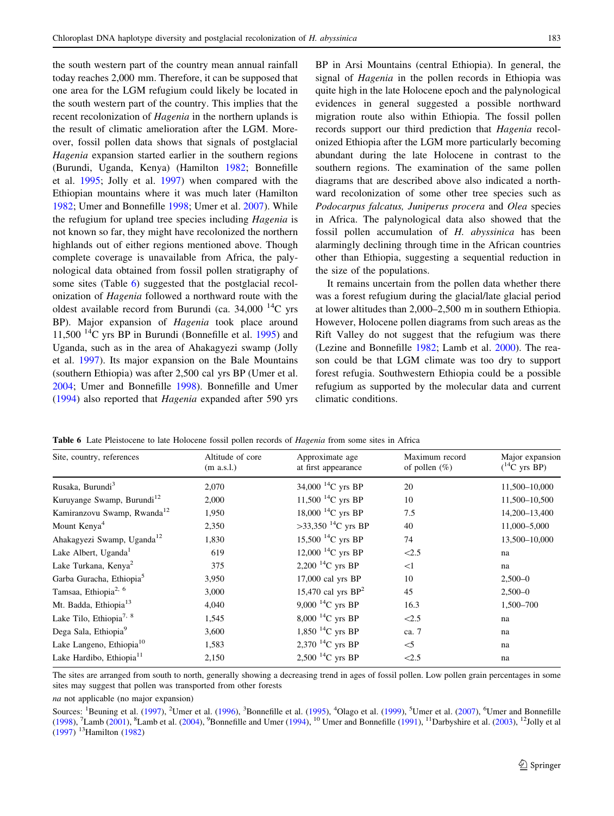the south western part of the country mean annual rainfall today reaches 2,000 mm. Therefore, it can be supposed that one area for the LGM refugium could likely be located in the south western part of the country. This implies that the recent recolonization of Hagenia in the northern uplands is the result of climatic amelioration after the LGM. Moreover, fossil pollen data shows that signals of postglacial Hagenia expansion started earlier in the southern regions (Burundi, Uganda, Kenya) (Hamilton [1982](#page-9-0); Bonnefille et al. [1995;](#page-9-0) Jolly et al. [1997\)](#page-10-0) when compared with the Ethiopian mountains where it was much later (Hamilton [1982;](#page-9-0) Umer and Bonnefille [1998](#page-10-0); Umer et al. [2007](#page-10-0)). While the refugium for upland tree species including Hagenia is not known so far, they might have recolonized the northern highlands out of either regions mentioned above. Though complete coverage is unavailable from Africa, the palynological data obtained from fossil pollen stratigraphy of some sites (Table 6) suggested that the postglacial recolonization of Hagenia followed a northward route with the oldest available record from Burundi (ca.  $34,000$  <sup>14</sup>C yrs BP). Major expansion of Hagenia took place around 11,500  $^{14}$ C yrs BP in Burundi (Bonnefille et al. [1995](#page-9-0)) and Uganda, such as in the area of Ahakagyezi swamp (Jolly et al. [1997](#page-10-0)). Its major expansion on the Bale Mountains (southern Ethiopia) was after 2,500 cal yrs BP (Umer et al. [2004;](#page-10-0) Umer and Bonnefille [1998\)](#page-10-0). Bonnefille and Umer [\(1994](#page-9-0)) also reported that Hagenia expanded after 590 yrs BP in Arsi Mountains (central Ethiopia). In general, the signal of Hagenia in the pollen records in Ethiopia was quite high in the late Holocene epoch and the palynological evidences in general suggested a possible northward migration route also within Ethiopia. The fossil pollen records support our third prediction that Hagenia recolonized Ethiopia after the LGM more particularly becoming abundant during the late Holocene in contrast to the southern regions. The examination of the same pollen diagrams that are described above also indicated a northward recolonization of some other tree species such as Podocarpus falcatus, Juniperus procera and Olea species in Africa. The palynological data also showed that the fossil pollen accumulation of H. abyssinica has been alarmingly declining through time in the African countries other than Ethiopia, suggesting a sequential reduction in the size of the populations.

It remains uncertain from the pollen data whether there was a forest refugium during the glacial/late glacial period at lower altitudes than 2,000–2,500 m in southern Ethiopia. However, Holocene pollen diagrams from such areas as the Rift Valley do not suggest that the refugium was there (Lezine and Bonnefille [1982](#page-10-0); Lamb et al. [2000](#page-10-0)). The reason could be that LGM climate was too dry to support forest refugia. Southwestern Ethiopia could be a possible refugium as supported by the molecular data and current climatic conditions.

| Site, country, references               | Altitude of core<br>(m a.s.l.) | Approximate age<br>at first appearance | Maximum record<br>of pollen $(\%)$ | Major expansion<br>$(^{14}C$ yrs BP) |
|-----------------------------------------|--------------------------------|----------------------------------------|------------------------------------|--------------------------------------|
| Rusaka, Burundi <sup>3</sup>            | 2,070                          | 34,000 $^{14}$ C yrs BP                | 20                                 | 11,500-10,000                        |
| Kuruyange Swamp, Burundi <sup>12</sup>  | 2,000                          | 11,500 $^{14}$ C yrs BP                | 10                                 | 11,500-10,500                        |
| Kamiranzovu Swamp, Rwanda <sup>12</sup> | 1,950                          | 18,000 $^{14}$ C yrs BP                | 7.5                                | 14,200-13,400                        |
| Mount Kenya <sup>4</sup>                | 2,350                          | >33,350 <sup>-14</sup> C yrs BP        | 40                                 | 11,000-5,000                         |
| Ahakagyezi Swamp, Uganda <sup>12</sup>  | 1,830                          | 15,500 $^{14}$ C yrs BP                | 74                                 | 13,500-10,000                        |
| Lake Albert, Uganda <sup>1</sup>        | 619                            | 12,000 $^{14}$ C yrs BP                | < 2.5                              | na                                   |
| Lake Turkana, Kenya <sup>2</sup>        | 375                            | 2,200 $^{14}$ C yrs BP                 | <1                                 | na                                   |
| Garba Guracha, Ethiopia <sup>5</sup>    | 3,950                          | $17,000$ cal yrs BP                    | 10                                 | $2,500 - 0$                          |
| Tamsaa, Ethiopia <sup>2, 6</sup>        | 3,000                          | 15,470 cal yrs $BP2$                   | 45                                 | $2,500 - 0$                          |
| Mt. Badda, Ethiopia <sup>13</sup>       | 4,040                          | 9,000 $^{14}$ C yrs BP                 | 16.3                               | 1,500-700                            |
| Lake Tilo, Ethiopia <sup>7, 8</sup>     | 1,545                          | $8,000^{14}$ C yrs BP                  | < 2.5                              | na                                   |
| Dega Sala, Ethiopia <sup>9</sup>        | 3,600                          | 1,850 $^{14}$ C yrs BP                 | ca. 7                              | na                                   |
| Lake Langeno, Ethiopia <sup>10</sup>    | 1,583                          | 2,370 $^{14}$ C yrs BP                 | $\leq$ 5                           | na                                   |
| Lake Hardibo, Ethiopia <sup>11</sup>    | 2,150                          | 2,500 $^{14}$ C yrs BP                 | < 2.5                              | na                                   |

Table 6 Late Pleistocene to late Holocene fossil pollen records of *Hagenia* from some sites in Africa

The sites are arranged from south to north, generally showing a decreasing trend in ages of fossil pollen. Low pollen grain percentages in some sites may suggest that pollen was transported from other forests

na not applicable (no major expansion)

Sources: <sup>1</sup>Beuning et al. ([1997\)](#page-9-0), <sup>2</sup>Umer et al. ([1996](#page-10-0)), <sup>3</sup>Bonnefille et al. [\(1995](#page-9-0)), <sup>4</sup>Olago et al. ([1999\)](#page-10-0), <sup>5</sup>Umer et al. ([2007\)](#page-10-0), <sup>6</sup>Umer and Bonnefille ([1998\)](#page-10-0), <sup>7</sup>Lamb ([2001\)](#page-10-0), <sup>8</sup>Lamb et al. ([2004\)](#page-10-0), <sup>9</sup>Bonnefille and Umer [\(1994](#page-9-0)), <sup>10</sup> Umer and Bonnefille ([1991\)](#page-10-0), <sup>11</sup>Darbyshire et al. ([2003\)](#page-9-0), <sup>12</sup>Jolly et al ([1997\)](#page-10-0) 13Hamilton ([1982](#page-9-0))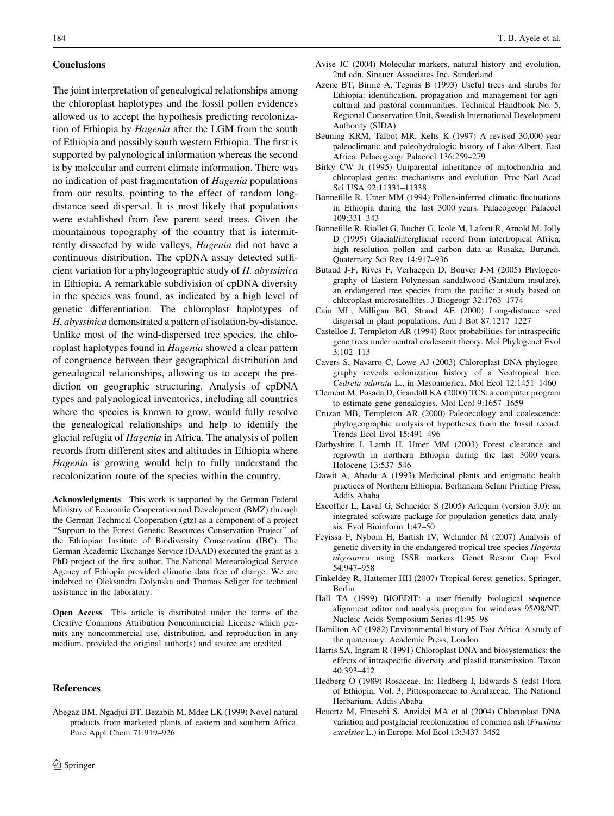#### <span id="page-9-0"></span>**Conclusions**

The joint interpretation of genealogical relationships among the chloroplast haplotypes and the fossil pollen evidences allowed us to accept the hypothesis predicting recolonization of Ethiopia by Hagenia after the LGM from the south of Ethiopia and possibly south western Ethiopia. The first is supported by palynological information whereas the second is by molecular and current climate information. There was no indication of past fragmentation of Hagenia populations from our results, pointing to the effect of random longdistance seed dispersal. It is most likely that populations were established from few parent seed trees. Given the mountainous topography of the country that is intermittently dissected by wide valleys, Hagenia did not have a continuous distribution. The cpDNA assay detected sufficient variation for a phylogeographic study of H. abyssinica in Ethiopia. A remarkable subdivision of cpDNA diversity in the species was found, as indicated by a high level of genetic differentiation. The chloroplast haplotypes of H. abyssinica demonstrated a pattern of isolation-by-distance. Unlike most of the wind-dispersed tree species, the chloroplast haplotypes found in Hagenia showed a clear pattern of congruence between their geographical distribution and genealogical relationships, allowing us to accept the prediction on geographic structuring. Analysis of cpDNA types and palynological inventories, including all countries where the species is known to grow, would fully resolve the genealogical relationships and help to identify the glacial refugia of Hagenia in Africa. The analysis of pollen records from different sites and altitudes in Ethiopia where Hagenia is growing would help to fully understand the recolonization route of the species within the country.

Acknowledgments This work is supported by the German Federal Ministry of Economic Cooperation and Development (BMZ) through the German Technical Cooperation (gtz) as a component of a project ''Support to the Forest Genetic Resources Conservation Project'' of the Ethiopian Institute of Biodiversity Conservation (IBC). The German Academic Exchange Service (DAAD) executed the grant as a PhD project of the first author. The National Meteorological Service Agency of Ethiopia provided climatic data free of charge. We are indebted to Oleksandra Dolynska and Thomas Seliger for technical assistance in the laboratory.

Open Access This article is distributed under the terms of the Creative Commons Attribution Noncommercial License which permits any noncommercial use, distribution, and reproduction in any medium, provided the original author(s) and source are credited.

#### References

Abegaz BM, Ngadjui BT, Bezabih M, Mdee LK (1999) Novel natural products from marketed plants of eastern and southern Africa. Pure Appl Chem 71:919–926

- Avise JC (2004) Molecular markers, natural history and evolution, 2nd edn. Sinauer Associates Inc, Sunderland
- Azene BT, Birnie A, Tegnäs B (1993) Useful trees and shrubs for Ethiopia: identification, propagation and management for agricultural and pastoral communities. Technical Handbook No. 5, Regional Conservation Unit, Swedish International Development Authority (SIDA)
- Beuning KRM, Talbot MR, Kelts K (1997) A revised 30,000-year paleoclimatic and paleohydrologic history of Lake Albert, East Africa. Palaeogeogr Palaeocl 136:259–279
- Birky CW Jr (1995) Uniparental inheritance of mitochondria and chloroplast genes: mechanisms and evolution. Proc Natl Acad Sci USA 92:11331–11338
- Bonnefille R, Umer MM (1994) Pollen-inferred climatic fluctuations in Ethiopia during the last 3000 years. Palaeogeogr Palaeocl 109:331–343
- Bonnefille R, Riollet G, Buchet G, Icole M, Lafont R, Arnold M, Jolly D (1995) Glacial/interglacial record from intertropical Africa, high resolution pollen and carbon data at Rusaka, Burundi. Quaternary Sci Rev 14:917–936
- Butaud J-F, Rives F, Verhaegen D, Bouver J-M (2005) Phylogeography of Eastern Polynesian sandalwood (Santalum insulare), an endangered tree species from the pacific: a study based on chloroplast microsatellites. J Biogeogr 32:1763–1774
- Cain ML, Milligan BG, Strand AE (2000) Long-distance seed dispersal in plant populations. Am J Bot 87:1217–1227
- Castelloe J, Templeton AR (1994) Root probabilities for intraspecific gene trees under neutral coalescent theory. Mol Phylogenet Evol 3:102–113
- Cavers S, Navarro C, Lowe AJ (2003) Chloroplast DNA phylogeography reveals colonization history of a Neotropical tree, Cedrela odorata L., in Mesoamerica. Mol Ecol 12:1451–1460
- Clement M, Posada D, Grandall KA (2000) TCS: a computer program to estimate gene genealogies. Mol Ecol 9:1657–1659
- Cruzan MB, Templeton AR (2000) Paleoecology and coalescence: phylogeographic analysis of hypotheses from the fossil record. Trends Ecol Evol 15:491–496
- Darbyshire I, Lamb H, Umer MM (2003) Forest clearance and regrowth in northern Ethiopia during the last 3000 years. Holocene 13:537–546
- Dawit A, Ahadu A (1993) Medicinal plants and enigmatic health practices of Northern Ethiopia. Berhanena Selam Printing Press, Addis Ababa
- Excoffier L, Laval G, Schneider S (2005) Arlequin (version 3.0): an integrated software package for population genetics data analysis. Evol Bioinform 1:47–50
- Feyissa F, Nybom H, Bartish IV, Welander M (2007) Analysis of genetic diversity in the endangered tropical tree species Hagenia abyssinica using ISSR markers. Genet Resour Crop Evol 54:947–958
- Finkeldey R, Hattemer HH (2007) Tropical forest genetics. Springer, Berlin
- Hall TA (1999) BIOEDIT: a user-friendly biological sequence alignment editor and analysis program for windows 95/98/NT. Nucleic Acids Symposium Series 41:95–98
- Hamilton AC (1982) Environmental history of East Africa. A study of the quaternary. Academic Press, London
- Harris SA, Ingram R (1991) Chloroplast DNA and biosystematics: the effects of intraspecific diversity and plastid transmission. Taxon 40:393–412
- Hedberg O (1989) Rosaceae. In: Hedberg I, Edwards S (eds) Flora of Ethiopia, Vol. 3, Pittosporaceae to Arralaceae. The National Herbarium, Addis Ababa
- Heuertz M, Fineschi S, Anzidei MA et al (2004) Chloroplast DNA variation and postglacial recolonization of common ash (Fraxinus excelsior L.) in Europe. Mol Ecol 13:3437–3452